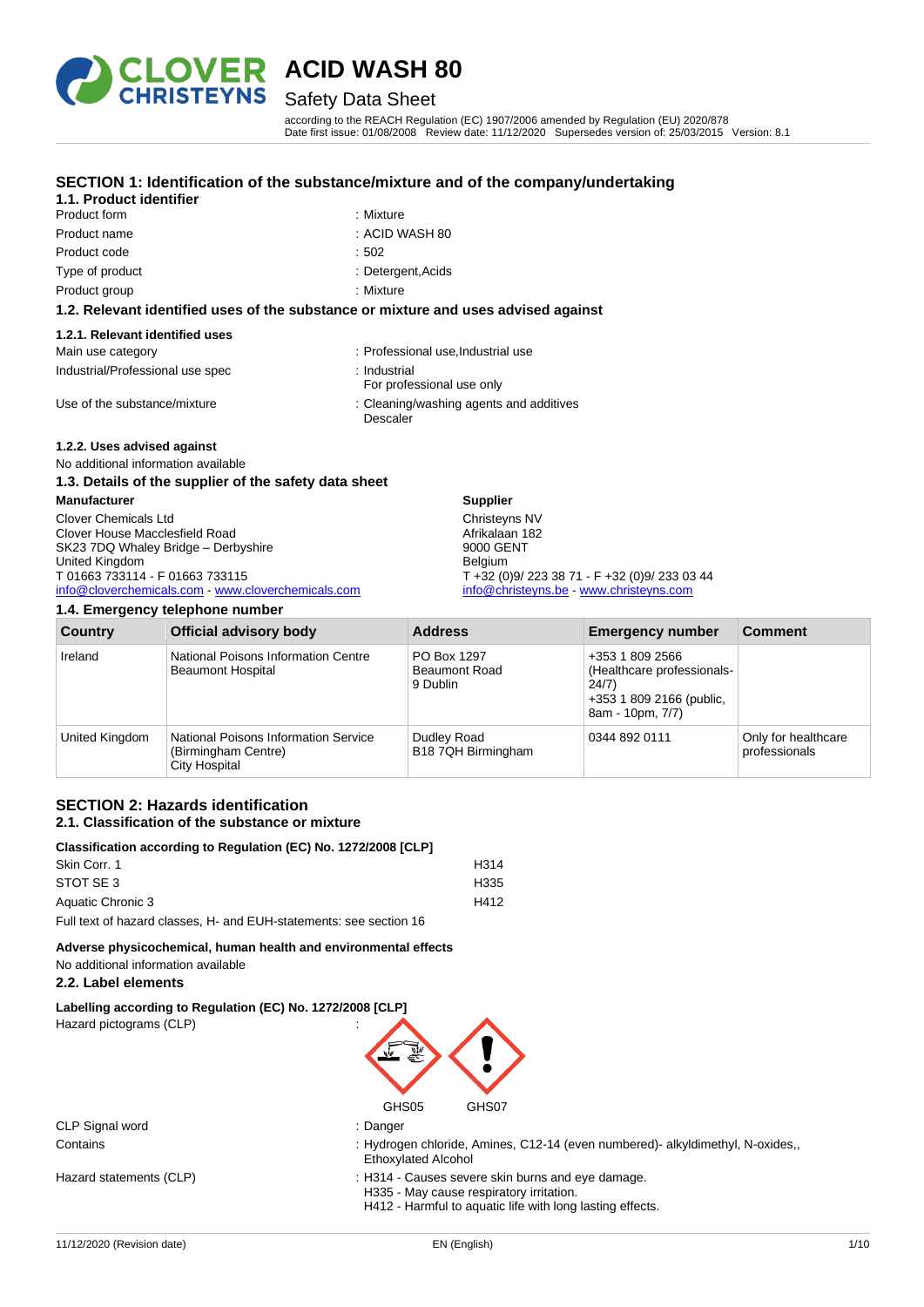

## Safety Data Sheet

according to the REACH Regulation (EC) 1907/2006 amended by Regulation (EU) 2020/878 Date first issue: 01/08/2008 Review date: 11/12/2020 Supersedes version of: 25/03/2015 Version: 8.1

### **SECTION 1: Identification of the substance/mixture and of the company/undertaking**

### **1.1. Product identifier**

- Product form : Nixture : Mixture Product name : ACID WASH 80 Product code : 502 Type of product in the contract of the contract of the Detergent, Acids
	-
	-
	-
- Product group **: Mixture** : Mixture

#### **1.2. Relevant identified uses of the substance or mixture and uses advised against**

#### **1.2.1. Relevant identified uses**

| Main use category                | : Professional use, Industrial use                  |
|----------------------------------|-----------------------------------------------------|
| Industrial/Professional use spec | : Industrial<br>For professional use only           |
| Use of the substance/mixture     | : Cleaning/washing agents and additives<br>Descaler |

#### **1.2.2. Uses advised against**

#### No additional information available

| 1.3. Details of the supplier of the safety data sheet |                                               |
|-------------------------------------------------------|-----------------------------------------------|
| <b>Manufacturer</b>                                   | <b>Supplier</b>                               |
| <b>Clover Chemicals Ltd</b>                           | Christeyns NV                                 |
| Clover House Macclesfield Road                        | Afrikalaan 182                                |
| SK23 7DQ Whaley Bridge - Derbyshire                   | 9000 GENT                                     |
| United Kingdom                                        | <b>Belaium</b>                                |
| T 01663 733114 - F 01663 733115                       | T +32 (0)9/ 223 38 71 - F +32 (0)9/ 233 03 44 |
| info@cloverchemicals.com - www.cloverchemicals.com    | info@christeyns.be www.christeyns.com         |

#### **1.4. Emergency telephone number**

| <b>Country</b> | <b>Official advisory body</b>                                                              | <b>Address</b>                                  | <b>Emergency number</b>                                                                                | <b>Comment</b>                       |
|----------------|--------------------------------------------------------------------------------------------|-------------------------------------------------|--------------------------------------------------------------------------------------------------------|--------------------------------------|
| Ireland        | National Poisons Information Centre<br><b>Beaumont Hospital</b>                            | PO Box 1297<br><b>Beaumont Road</b><br>9 Dublin | +353 1 809 2566<br>(Healthcare professionals-<br>24/7)<br>+353 1 809 2166 (public,<br>8am - 10pm, 7/7) |                                      |
| United Kingdom | <b>National Poisons Information Service</b><br>(Birmingham Centre)<br><b>City Hospital</b> | Dudley Road<br>B18 7QH Birmingham               | 0344 892 0111                                                                                          | Only for healthcare<br>professionals |

#### **SECTION 2: Hazards identification 2.1. Classification of the substance or mixture**

| Classification according to Regulation (EC) No. 1272/2008 [CLP]    |      |
|--------------------------------------------------------------------|------|
| Skin Corr. 1                                                       | H314 |
| STOT SE 3                                                          | H335 |
| Aquatic Chronic 3                                                  | H412 |
| Full text of hazard classes, H- and EUH-statements: see section 16 |      |

**Adverse physicochemical, human health and environmental effects** No additional information available

#### **2.2. Label elements**

**Labelling according to Regulation (EC) No. 1272/2008 [CLP]** Hazard pictograms (CLP) :



| CLP Signal word |
|-----------------|
| Contains        |

- : Danger
- : Hydrogen chloride, Amines, C12-14 (even numbered)- alkyldimethyl, N-oxides,, Ethoxylated Alcohol
- Hazard statements (CLP)  $\qquad \qquad$ : H314 Causes severe skin burns and eye damage. H335 - May cause respiratory irritation.

H412 - Harmful to aquatic life with long lasting effects.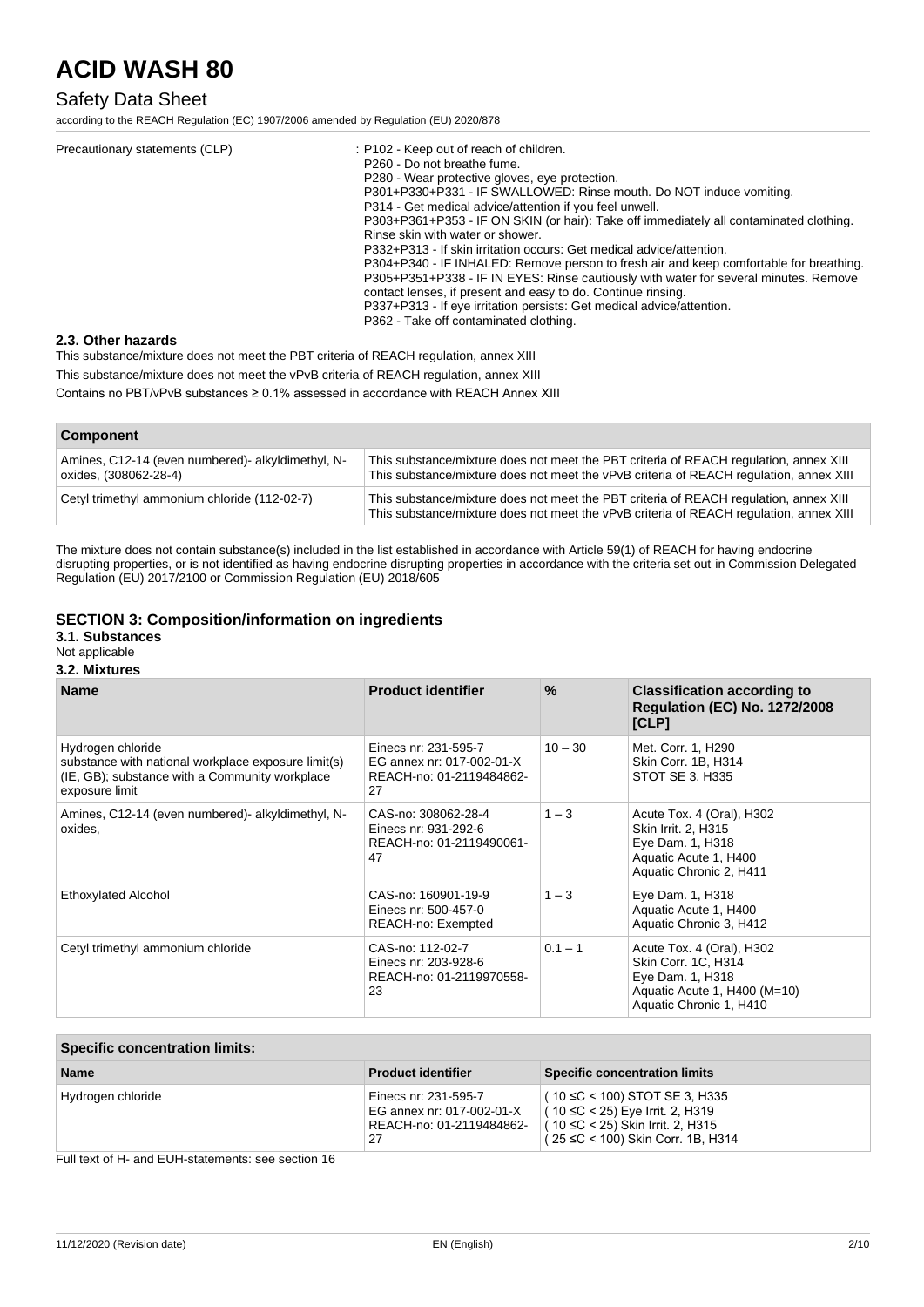### Safety Data Sheet

according to the REACH Regulation (EC) 1907/2006 amended by Regulation (EU) 2020/878

| Precautionary statements (CLP) | : P102 - Keep out of reach of children.<br>P <sub>260</sub> - Do not breathe fume.<br>P280 - Wear protective gloves, eve protection.<br>P301+P330+P331 - IF SWALLOWED: Rinse mouth. Do NOT induce vomiting.<br>P314 - Get medical advice/attention if you feel unwell.<br>P303+P361+P353 - IF ON SKIN (or hair): Take off immediately all contaminated clothing.<br>Rinse skin with water or shower.<br>P332+P313 - If skin irritation occurs: Get medical advice/attention.<br>P304+P340 - IF INHALED: Remove person to fresh air and keep comfortable for breathing.<br>P305+P351+P338 - IF IN EYES: Rinse cautiously with water for several minutes. Remove<br>contact lenses, if present and easy to do. Continue rinsing.<br>P337+P313 - If eye irritation persists: Get medical advice/attention.<br>P362 - Take off contaminated clothing. |
|--------------------------------|---------------------------------------------------------------------------------------------------------------------------------------------------------------------------------------------------------------------------------------------------------------------------------------------------------------------------------------------------------------------------------------------------------------------------------------------------------------------------------------------------------------------------------------------------------------------------------------------------------------------------------------------------------------------------------------------------------------------------------------------------------------------------------------------------------------------------------------------------|
|--------------------------------|---------------------------------------------------------------------------------------------------------------------------------------------------------------------------------------------------------------------------------------------------------------------------------------------------------------------------------------------------------------------------------------------------------------------------------------------------------------------------------------------------------------------------------------------------------------------------------------------------------------------------------------------------------------------------------------------------------------------------------------------------------------------------------------------------------------------------------------------------|

#### **2.3. Other hazards**

This substance/mixture does not meet the PBT criteria of REACH regulation, annex XIII

This substance/mixture does not meet the vPvB criteria of REACH regulation, annex XIII

Contains no PBT/vPvB substances ≥ 0.1% assessed in accordance with REACH Annex XIII

| <b>Component</b>                                                          |                                                                                                                                                                                 |
|---------------------------------------------------------------------------|---------------------------------------------------------------------------------------------------------------------------------------------------------------------------------|
| Amines, C12-14 (even numbered) alkyldimethyl, N-<br>oxides, (308062-28-4) | This substance/mixture does not meet the PBT criteria of REACH regulation, annex XIII<br>This substance/mixture does not meet the vPvB criteria of REACH requlation, annex XIII |
| Cetyl trimethyl ammonium chloride (112-02-7)                              | This substance/mixture does not meet the PBT criteria of REACH regulation, annex XIII<br>This substance/mixture does not meet the vPvB criteria of REACH regulation, annex XIII |

The mixture does not contain substance(s) included in the list established in accordance with Article 59(1) of REACH for having endocrine disrupting properties, or is not identified as having endocrine disrupting properties in accordance with the criteria set out in Commission Delegated Regulation (EU) 2017/2100 or Commission Regulation (EU) 2018/605

#### **SECTION 3: Composition/information on ingredients**

### **3.1. Substances**

## Not applicable

### **3.2. Mixtures**

| <b>Name</b>                                                                                                                                  | <b>Product identifier</b>                                                           | $\%$      | <b>Classification according to</b><br><b>Regulation (EC) No. 1272/2008</b><br>[CLP]                                             |
|----------------------------------------------------------------------------------------------------------------------------------------------|-------------------------------------------------------------------------------------|-----------|---------------------------------------------------------------------------------------------------------------------------------|
| Hydrogen chloride<br>substance with national workplace exposure limit(s)<br>(IE, GB); substance with a Community workplace<br>exposure limit | Einecs nr: 231-595-7<br>EG annex nr: 017-002-01-X<br>REACH-no: 01-2119484862-<br>27 | $10 - 30$ | Met. Corr. 1, H290<br>Skin Corr. 1B, H314<br>STOT SE 3, H335                                                                    |
| Amines, C12-14 (even numbered) alkyldimethyl, N-<br>oxides,                                                                                  | CAS-no: 308062-28-4<br>Einecs nr: 931-292-6<br>REACH-no: 01-2119490061-<br>47       | $1 - 3$   | Acute Tox. 4 (Oral), H302<br>Skin Irrit. 2, H315<br>Eye Dam. 1, H318<br>Aquatic Acute 1, H400<br>Aquatic Chronic 2, H411        |
| <b>Ethoxylated Alcohol</b>                                                                                                                   | CAS-no: 160901-19-9<br>Einecs nr: 500-457-0<br>REACH-no: Exempted                   | $1 - 3$   | Eye Dam. 1, H318<br>Aquatic Acute 1, H400<br>Aquatic Chronic 3, H412                                                            |
| Cetyl trimethyl ammonium chloride                                                                                                            | CAS-no: 112-02-7<br>Einecs nr: 203-928-6<br>REACH-no: 01-2119970558-<br>23          | $0.1 - 1$ | Acute Tox. 4 (Oral), H302<br>Skin Corr. 1C, H314<br>Eye Dam. 1, H318<br>Aquatic Acute 1, H400 (M=10)<br>Aquatic Chronic 1, H410 |

| <b>Specific concentration limits:</b> |                                                                                     |                                                                                                                                                    |  |
|---------------------------------------|-------------------------------------------------------------------------------------|----------------------------------------------------------------------------------------------------------------------------------------------------|--|
| <b>Name</b>                           | <b>Product identifier</b>                                                           | <b>Specific concentration limits</b>                                                                                                               |  |
| Hydrogen chloride                     | Einecs nr: 231-595-7<br>EG annex nr: 017-002-01-X<br>REACH-no: 01-2119484862-<br>27 | $(10 \leq C < 100)$ STOT SE 3, H335<br>l ( 10 ≤C < 25) Eye Irrit. 2, H319<br>(10 ≤C < 25) Skin Irrit. 2, H315<br>(25 ≤C < 100) Skin Corr. 1B, H314 |  |

Full text of H- and EUH-statements: see section 16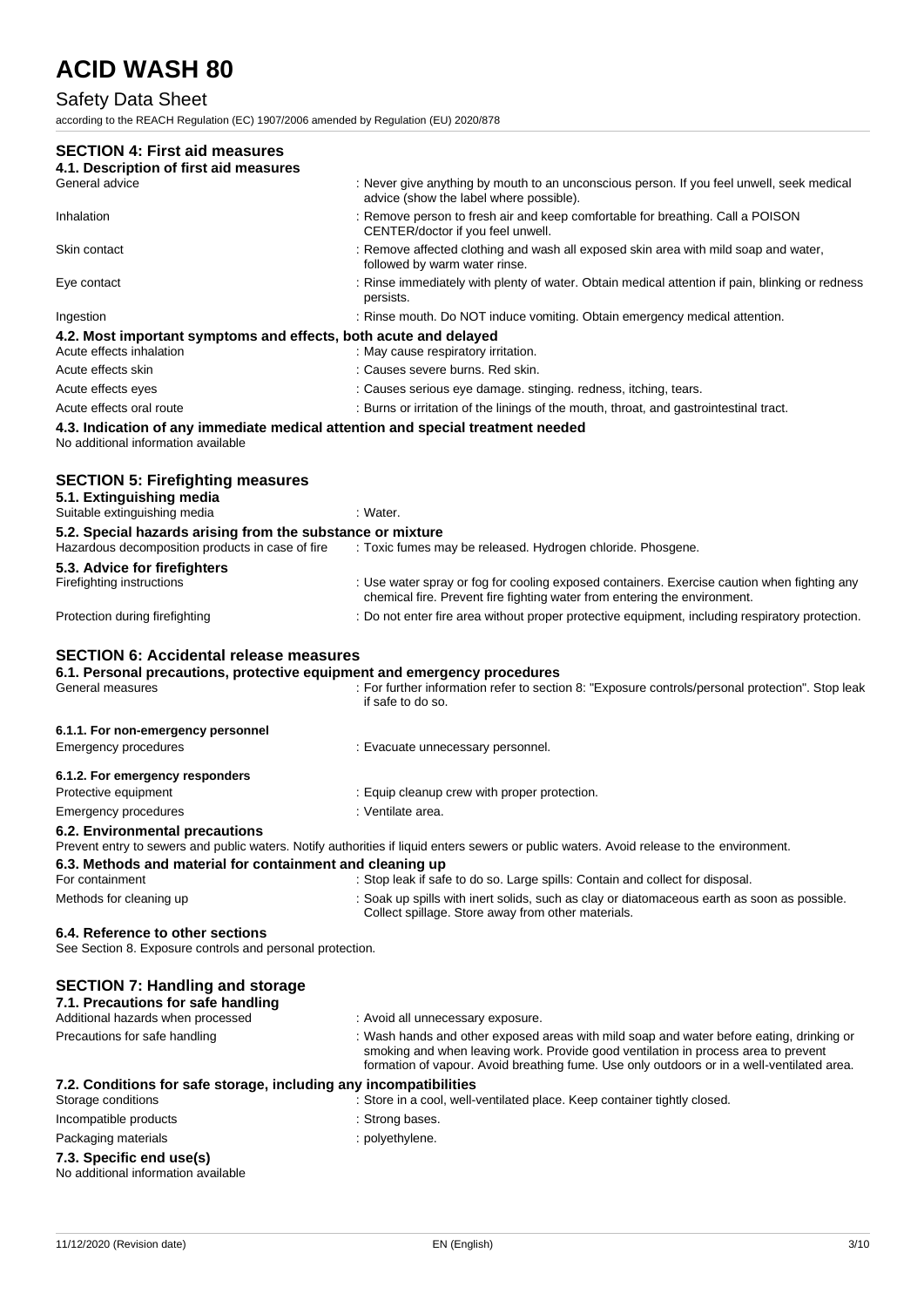## Safety Data Sheet

according to the REACH Regulation (EC) 1907/2006 amended by Regulation (EU) 2020/878

| <b>SECTION 4: First aid measures</b><br>4.1. Description of first aid measures                                                                |                                                                                                                                                                                                                                                                              |
|-----------------------------------------------------------------------------------------------------------------------------------------------|------------------------------------------------------------------------------------------------------------------------------------------------------------------------------------------------------------------------------------------------------------------------------|
| General advice                                                                                                                                | : Never give anything by mouth to an unconscious person. If you feel unwell, seek medical<br>advice (show the label where possible).                                                                                                                                         |
| Inhalation                                                                                                                                    | : Remove person to fresh air and keep comfortable for breathing. Call a POISON<br>CENTER/doctor if you feel unwell.                                                                                                                                                          |
| Skin contact                                                                                                                                  | : Remove affected clothing and wash all exposed skin area with mild soap and water,<br>followed by warm water rinse.                                                                                                                                                         |
| Eye contact                                                                                                                                   | : Rinse immediately with plenty of water. Obtain medical attention if pain, blinking or redness<br>persists.                                                                                                                                                                 |
| Ingestion                                                                                                                                     | : Rinse mouth. Do NOT induce vomiting. Obtain emergency medical attention.                                                                                                                                                                                                   |
| 4.2. Most important symptoms and effects, both acute and delayed<br>Acute effects inhalation                                                  | : May cause respiratory irritation.                                                                                                                                                                                                                                          |
| Acute effects skin                                                                                                                            | : Causes severe burns. Red skin.                                                                                                                                                                                                                                             |
| Acute effects eyes                                                                                                                            | : Causes serious eye damage. stinging. redness, itching, tears.                                                                                                                                                                                                              |
| Acute effects oral route                                                                                                                      | : Burns or irritation of the linings of the mouth, throat, and gastrointestinal tract.                                                                                                                                                                                       |
| 4.3. Indication of any immediate medical attention and special treatment needed<br>No additional information available                        |                                                                                                                                                                                                                                                                              |
| <b>SECTION 5: Firefighting measures</b><br>5.1. Extinguishing media                                                                           |                                                                                                                                                                                                                                                                              |
| Suitable extinguishing media                                                                                                                  | : Water.                                                                                                                                                                                                                                                                     |
| 5.2. Special hazards arising from the substance or mixture<br>Hazardous decomposition products in case of fire                                | : Toxic fumes may be released. Hydrogen chloride. Phosgene.                                                                                                                                                                                                                  |
| 5.3. Advice for firefighters                                                                                                                  |                                                                                                                                                                                                                                                                              |
| Firefighting instructions                                                                                                                     | : Use water spray or fog for cooling exposed containers. Exercise caution when fighting any<br>chemical fire. Prevent fire fighting water from entering the environment.                                                                                                     |
| Protection during firefighting                                                                                                                | : Do not enter fire area without proper protective equipment, including respiratory protection.                                                                                                                                                                              |
| <b>SECTION 6: Accidental release measures</b><br>6.1. Personal precautions, protective equipment and emergency procedures<br>General measures | : For further information refer to section 8: "Exposure controls/personal protection". Stop leak<br>if safe to do so.                                                                                                                                                        |
| 6.1.1. For non-emergency personnel                                                                                                            |                                                                                                                                                                                                                                                                              |
| <b>Emergency procedures</b>                                                                                                                   | : Evacuate unnecessary personnel.                                                                                                                                                                                                                                            |
| 6.1.2. For emergency responders                                                                                                               |                                                                                                                                                                                                                                                                              |
| Protective equipment                                                                                                                          | : Equip cleanup crew with proper protection.                                                                                                                                                                                                                                 |
| <b>Emergency procedures</b>                                                                                                                   | : Ventilate area.                                                                                                                                                                                                                                                            |
| 6.2. Environmental precautions                                                                                                                | Prevent entry to sewers and public waters. Notify authorities if liquid enters sewers or public waters. Avoid release to the environment.                                                                                                                                    |
| 6.3. Methods and material for containment and cleaning up                                                                                     |                                                                                                                                                                                                                                                                              |
| For containment                                                                                                                               |                                                                                                                                                                                                                                                                              |
|                                                                                                                                               | : Stop leak if safe to do so. Large spills: Contain and collect for disposal.                                                                                                                                                                                                |
| Methods for cleaning up                                                                                                                       | : Soak up spills with inert solids, such as clay or diatomaceous earth as soon as possible.<br>Collect spillage. Store away from other materials.                                                                                                                            |
| 6.4. Reference to other sections                                                                                                              |                                                                                                                                                                                                                                                                              |
| See Section 8. Exposure controls and personal protection.                                                                                     |                                                                                                                                                                                                                                                                              |
| <b>SECTION 7: Handling and storage</b><br>7.1. Precautions for safe handling<br>Additional hazards when processed                             | : Avoid all unnecessary exposure.                                                                                                                                                                                                                                            |
| Precautions for safe handling                                                                                                                 | : Wash hands and other exposed areas with mild soap and water before eating, drinking or<br>smoking and when leaving work. Provide good ventilation in process area to prevent<br>formation of vapour. Avoid breathing fume. Use only outdoors or in a well-ventilated area. |
| 7.2. Conditions for safe storage, including any incompatibilities<br>Storage conditions                                                       | : Store in a cool, well-ventilated place. Keep container tightly closed.                                                                                                                                                                                                     |
| Incompatible products                                                                                                                         | : Strong bases.                                                                                                                                                                                                                                                              |
| Packaging materials                                                                                                                           | : polyethylene.                                                                                                                                                                                                                                                              |

No additional information available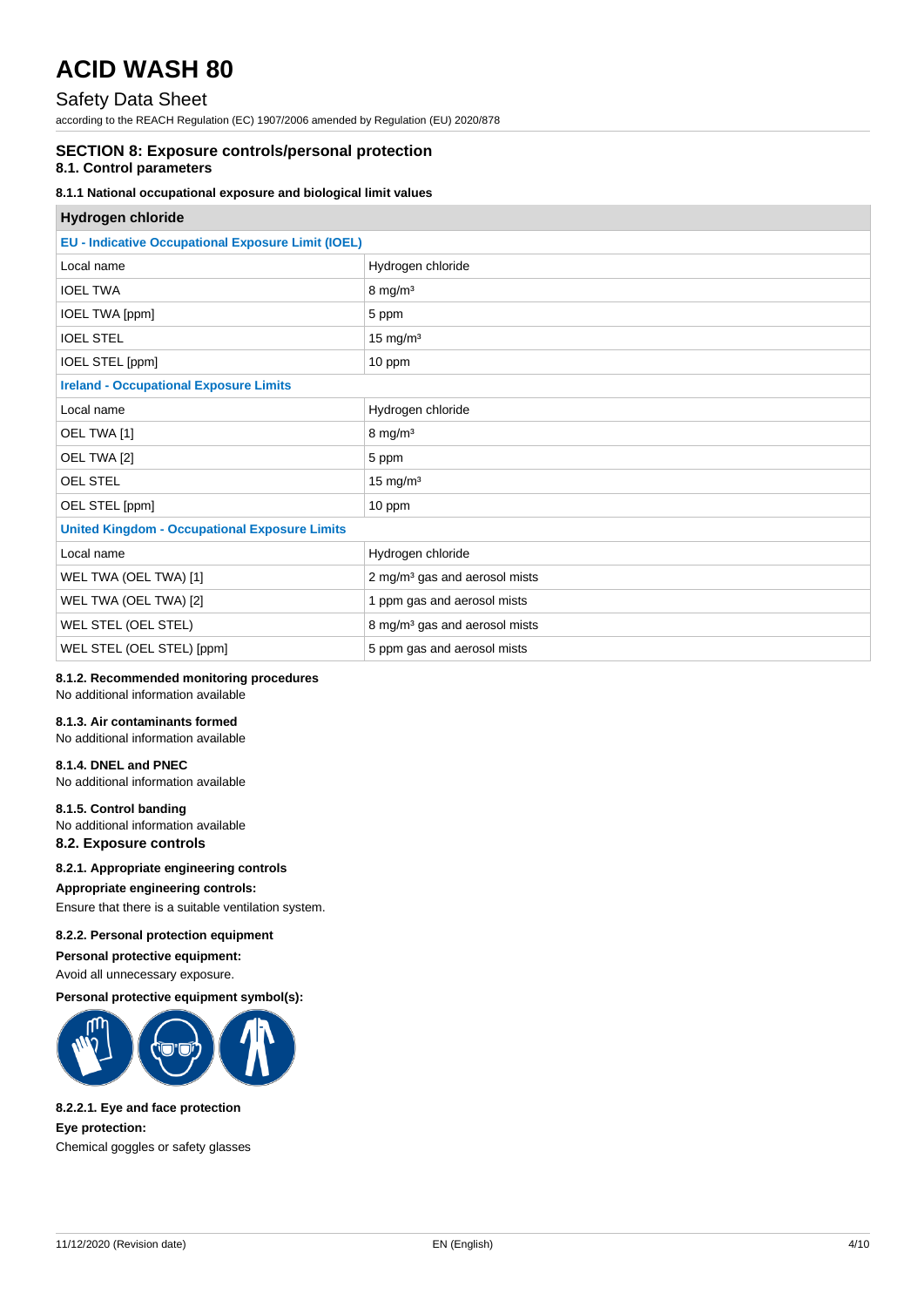## Safety Data Sheet

according to the REACH Regulation (EC) 1907/2006 amended by Regulation (EU) 2020/878

### **SECTION 8: Exposure controls/personal protection**

#### **8.1. Control parameters**

#### **8.1.1 National occupational exposure and biological limit values**

| Hydrogen chloride                                         |                                           |  |
|-----------------------------------------------------------|-------------------------------------------|--|
| <b>EU - Indicative Occupational Exposure Limit (IOEL)</b> |                                           |  |
| Local name                                                | Hydrogen chloride                         |  |
| <b>IOEL TWA</b>                                           | $8 \text{ mg/m}^3$                        |  |
| IOEL TWA [ppm]                                            | 5 ppm                                     |  |
| <b>IOEL STEL</b>                                          | $15$ mg/m <sup>3</sup>                    |  |
| IOEL STEL [ppm]                                           | 10 ppm                                    |  |
| <b>Ireland - Occupational Exposure Limits</b>             |                                           |  |
| Local name                                                | Hydrogen chloride                         |  |
| OEL TWA [1]                                               | $8 \text{ mg/m}^3$                        |  |
| OEL TWA [2]                                               | 5 ppm                                     |  |
| <b>OEL STEL</b>                                           | $15$ mg/m <sup>3</sup>                    |  |
| OEL STEL [ppm]                                            | 10 ppm                                    |  |
| <b>United Kingdom - Occupational Exposure Limits</b>      |                                           |  |
| Local name                                                | Hydrogen chloride                         |  |
| WEL TWA (OEL TWA) [1]                                     | 2 mg/m <sup>3</sup> gas and aerosol mists |  |
| WEL TWA (OEL TWA) [2]                                     | 1 ppm gas and aerosol mists               |  |
| WEL STEL (OEL STEL)                                       | 8 mg/m <sup>3</sup> gas and aerosol mists |  |
| WEL STEL (OEL STEL) [ppm]                                 | 5 ppm gas and aerosol mists               |  |

### **8.1.2. Recommended monitoring procedures**

No additional information available

#### **8.1.3. Air contaminants formed**

No additional information available

#### **8.1.4. DNEL and PNEC**

No additional information available

#### **8.1.5. Control banding**

No additional information available

## **8.2. Exposure controls**

**8.2.1. Appropriate engineering controls**

#### **Appropriate engineering controls:**

Ensure that there is a suitable ventilation system.

#### **8.2.2. Personal protection equipment**

#### **Personal protective equipment:**

Avoid all unnecessary exposure.

#### **Personal protective equipment symbol(s):**



#### **8.2.2.1. Eye and face protection**

**Eye protection:**

Chemical goggles or safety glasses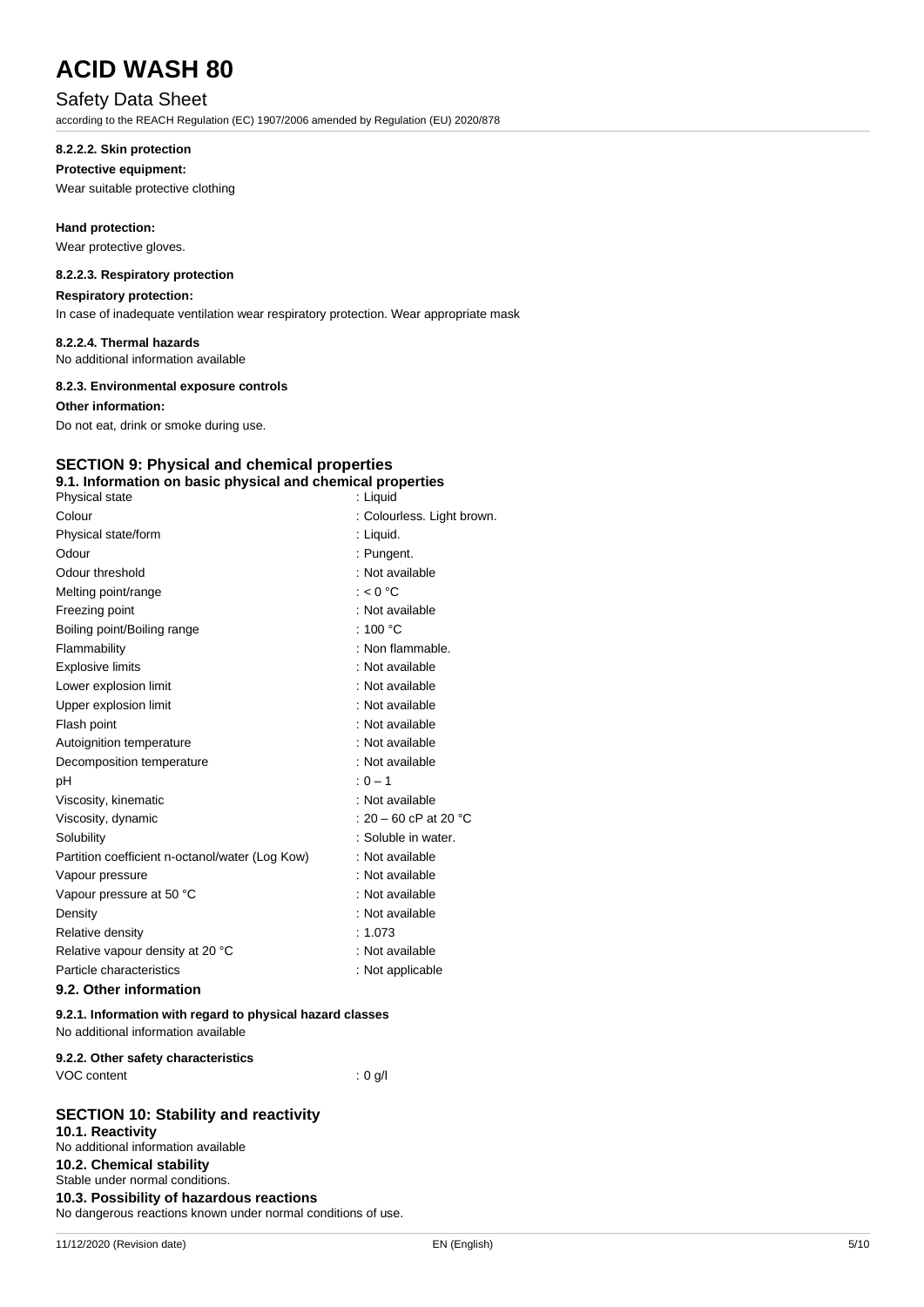### Safety Data Sheet

according to the REACH Regulation (EC) 1907/2006 amended by Regulation (EU) 2020/878

#### **8.2.2.2. Skin protection**

#### **Protective equipment:**

Wear suitable protective clothing

**Hand protection:**

Wear protective gloves.

#### **8.2.2.3. Respiratory protection**

**Respiratory protection:**

In case of inadequate ventilation wear respiratory protection. Wear appropriate mask

#### **8.2.2.4. Thermal hazards**

No additional information available

#### **8.2.3. Environmental exposure controls**

**Other information:**

Do not eat, drink or smoke during use.

## **SECTION 9: Physical and chemical properties**

| 9.1. Information on basic physical and chemical properties |                            |
|------------------------------------------------------------|----------------------------|
| Physical state                                             | : Liquid                   |
| Colour                                                     | : Colourless. Light brown. |
| Physical state/form                                        | : Liquid.                  |
| Odour                                                      | : Pungent.                 |
| Odour threshold                                            | : Not available            |
| Melting point/range                                        | $: < 0$ °C                 |
| Freezing point                                             | : Not available            |
| Boiling point/Boiling range                                | : 100 $\degree$ C          |
| Flammability                                               | : Non flammable.           |
| <b>Explosive limits</b>                                    | : Not available            |
| Lower explosion limit                                      | : Not available            |
| Upper explosion limit                                      | : Not available            |
| Flash point                                                | : Not available            |
| Autoignition temperature                                   | : Not available            |
| Decomposition temperature                                  | : Not available            |
| pH                                                         | $: 0 - 1$                  |
| Viscosity, kinematic                                       | : Not available            |
| Viscosity, dynamic                                         | : 20 – 60 cP at 20 °C      |
| Solubility                                                 | : Soluble in water.        |
| Partition coefficient n-octanol/water (Log Kow)            | : Not available            |
| Vapour pressure                                            | : Not available            |
| Vapour pressure at 50 °C                                   | : Not available            |
| Density                                                    | : Not available            |
| Relative density                                           | : 1.073                    |
| Relative vapour density at 20 °C                           | : Not available            |
| Particle characteristics                                   | : Not applicable           |
|                                                            |                            |

#### **9.2. Other information**

#### **9.2.1. Information with regard to physical hazard classes** No additional information available

#### **9.2.2. Other safety characteristics**

| VOC content |  |  |
|-------------|--|--|
|             |  |  |

### **SECTION 10: Stability and reactivity**

**10.1. Reactivity** No additional information available **10.2. Chemical stability** Stable under normal conditions. **10.3. Possibility of hazardous reactions** No dangerous reactions known under normal conditions of use.

 $: 0$  g/l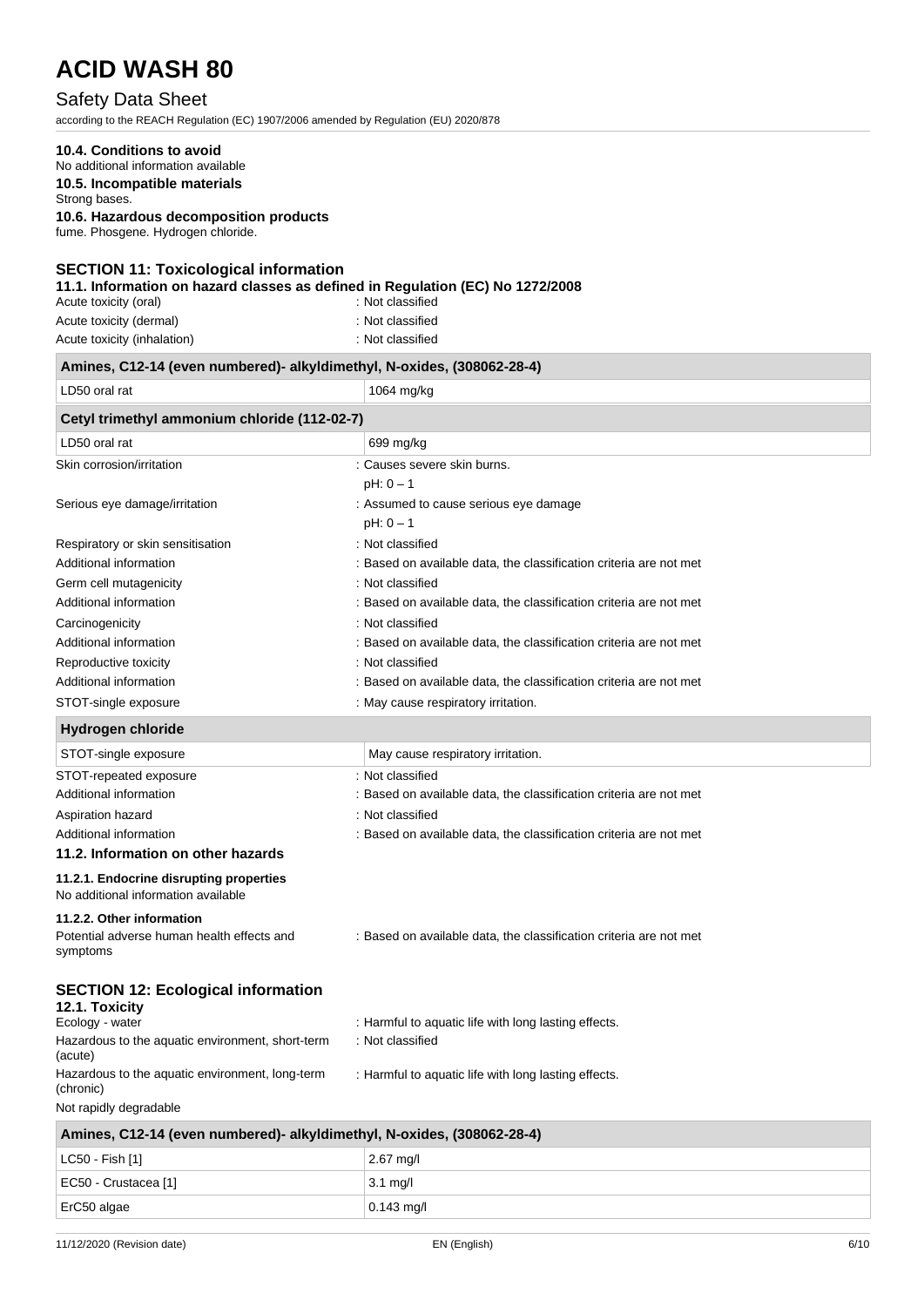## Safety Data Sheet

according to the REACH Regulation (EC) 1907/2006 amended by Regulation (EU) 2020/878

### **10.4. Conditions to avoid**

## No additional information available

**10.5. Incompatible materials**

Strong bases.

**10.6. Hazardous decomposition products**

fume. Phosgene. Hydrogen chloride.

#### **SECTION 11: Toxicological information**

**11.1. Information on hazard classes as defined in Regulation (EC) No 1272/2008**

| Acute toxicity (oral)       | : Not classified |
|-----------------------------|------------------|
| Acute toxicity (dermal)     | : Not classified |
| Acute toxicity (inhalation) | : Not classified |

| Amines, C12-14 (even numbered)- alkyldimethyl, N-oxides, (308062-28-4)         |                                                                    |  |
|--------------------------------------------------------------------------------|--------------------------------------------------------------------|--|
| LD50 oral rat                                                                  | 1064 mg/kg                                                         |  |
| Cetyl trimethyl ammonium chloride (112-02-7)                                   |                                                                    |  |
| LD50 oral rat                                                                  | 699 mg/kg                                                          |  |
| Skin corrosion/irritation                                                      | : Causes severe skin burns.                                        |  |
|                                                                                | $pH: 0 - 1$                                                        |  |
| Serious eye damage/irritation                                                  | : Assumed to cause serious eye damage                              |  |
|                                                                                | $pH: 0 - 1$                                                        |  |
| Respiratory or skin sensitisation                                              | : Not classified                                                   |  |
| Additional information                                                         | : Based on available data, the classification criteria are not met |  |
| Germ cell mutagenicity                                                         | : Not classified                                                   |  |
| Additional information                                                         | : Based on available data, the classification criteria are not met |  |
| Carcinogenicity                                                                | : Not classified                                                   |  |
| Additional information                                                         | : Based on available data, the classification criteria are not met |  |
| Reproductive toxicity                                                          | : Not classified                                                   |  |
| Additional information                                                         | : Based on available data, the classification criteria are not met |  |
| STOT-single exposure                                                           | : May cause respiratory irritation.                                |  |
| <b>Hydrogen chloride</b>                                                       |                                                                    |  |
| STOT-single exposure                                                           | May cause respiratory irritation.                                  |  |
| STOT-repeated exposure                                                         | : Not classified                                                   |  |
| Additional information                                                         | : Based on available data, the classification criteria are not met |  |
| Aspiration hazard                                                              | : Not classified                                                   |  |
| Additional information                                                         | : Based on available data, the classification criteria are not met |  |
| 11.2. Information on other hazards                                             |                                                                    |  |
| 11.2.1. Endocrine disrupting properties<br>No additional information available |                                                                    |  |
| 11.2.2. Other information                                                      |                                                                    |  |
| Potential adverse human health effects and<br>symptoms                         | : Based on available data, the classification criteria are not met |  |
| <b>SECTION 12: Ecological information</b><br>12.1. Toxicity<br>Ecology - water | : Harmful to aquatic life with long lasting effects.               |  |
| Hazardous to the aquatic environment, short-term                               | : Not classified                                                   |  |
| (acute)                                                                        |                                                                    |  |
| Hazardous to the aquatic environment, long-term<br>(chronic)                   | : Harmful to aquatic life with long lasting effects.               |  |
| Not rapidly degradable                                                         |                                                                    |  |
| Amines, C12-14 (even numbered)- alkyldimethyl, N-oxides, (308062-28-4)         |                                                                    |  |

| $\frac{1}{2}$        |                    |  |
|----------------------|--------------------|--|
| $ $ LC50 - Fish [1]  | $2.67$ mg/l        |  |
| EC50 - Crustacea [1] | $3.1 \text{ mq/l}$ |  |
| $\vert$ ErC50 algae  | $0.143$ mg/l       |  |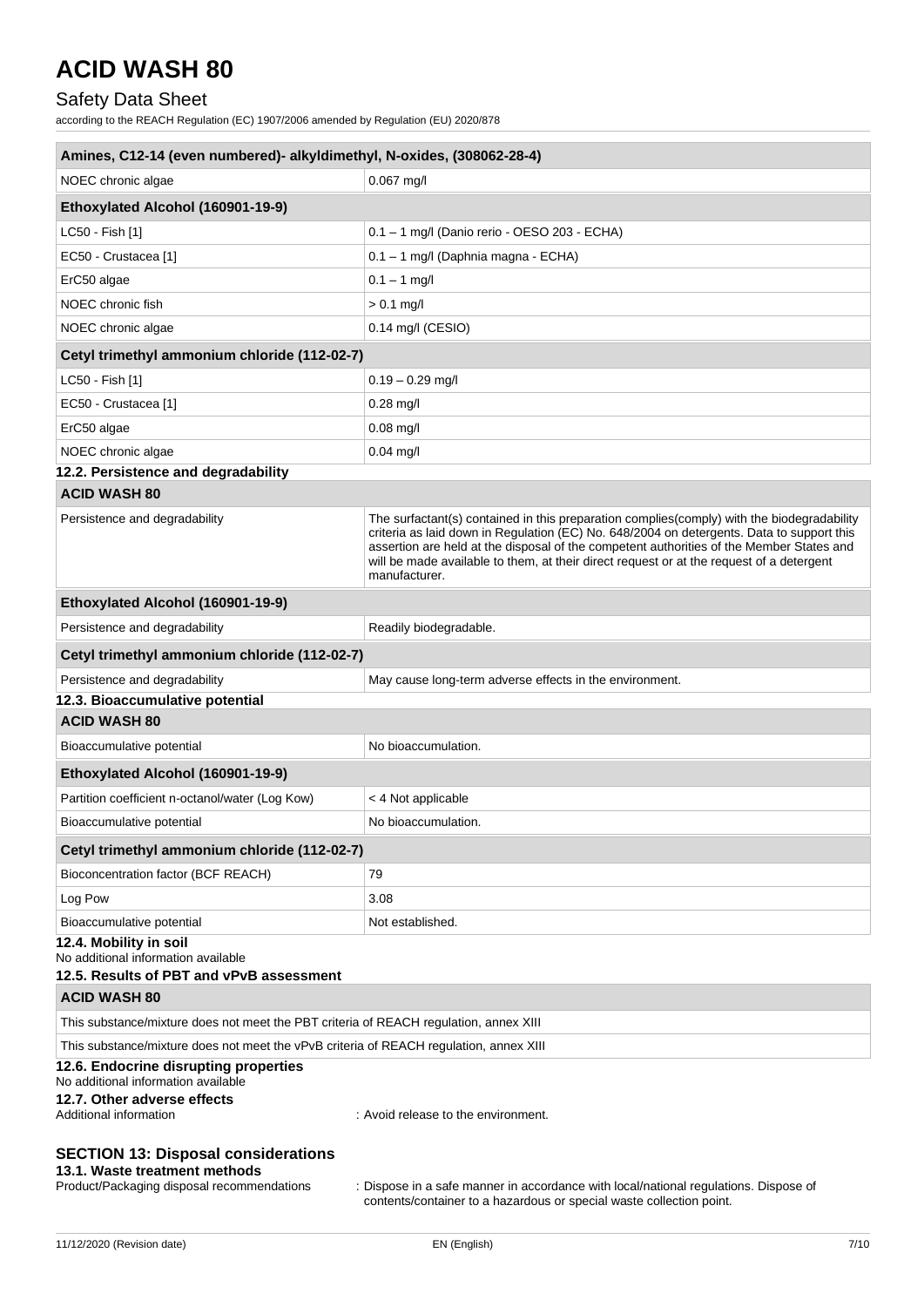## Safety Data Sheet

according to the REACH Regulation (EC) 1907/2006 amended by Regulation (EU) 2020/878

| Amines, C12-14 (even numbered)- alkyldimethyl, N-oxides, (308062-28-4)                                                    |                                                                                                                                                                                                                                                                                                                                                                                                  |  |
|---------------------------------------------------------------------------------------------------------------------------|--------------------------------------------------------------------------------------------------------------------------------------------------------------------------------------------------------------------------------------------------------------------------------------------------------------------------------------------------------------------------------------------------|--|
| NOEC chronic algae                                                                                                        | $0.067$ mg/l                                                                                                                                                                                                                                                                                                                                                                                     |  |
| Ethoxylated Alcohol (160901-19-9)                                                                                         |                                                                                                                                                                                                                                                                                                                                                                                                  |  |
| LC50 - Fish [1]                                                                                                           | 0.1 - 1 mg/l (Danio rerio - OESO 203 - ECHA)                                                                                                                                                                                                                                                                                                                                                     |  |
| EC50 - Crustacea [1]                                                                                                      | 0.1 - 1 mg/l (Daphnia magna - ECHA)                                                                                                                                                                                                                                                                                                                                                              |  |
| ErC50 algae                                                                                                               | $0.1 - 1$ mg/l                                                                                                                                                                                                                                                                                                                                                                                   |  |
| NOEC chronic fish                                                                                                         | $> 0.1$ mg/l                                                                                                                                                                                                                                                                                                                                                                                     |  |
| NOEC chronic algae                                                                                                        | $0.14$ mg/l (CESIO)                                                                                                                                                                                                                                                                                                                                                                              |  |
| Cetyl trimethyl ammonium chloride (112-02-7)                                                                              |                                                                                                                                                                                                                                                                                                                                                                                                  |  |
| LC50 - Fish [1]                                                                                                           | $0.19 - 0.29$ mg/l                                                                                                                                                                                                                                                                                                                                                                               |  |
| EC50 - Crustacea [1]                                                                                                      | $0.28$ mg/l                                                                                                                                                                                                                                                                                                                                                                                      |  |
| ErC50 algae                                                                                                               | $0.08$ mg/l                                                                                                                                                                                                                                                                                                                                                                                      |  |
| NOEC chronic algae                                                                                                        | $0.04$ mg/l                                                                                                                                                                                                                                                                                                                                                                                      |  |
| 12.2. Persistence and degradability                                                                                       |                                                                                                                                                                                                                                                                                                                                                                                                  |  |
| <b>ACID WASH 80</b>                                                                                                       |                                                                                                                                                                                                                                                                                                                                                                                                  |  |
| Persistence and degradability                                                                                             | The surfactant(s) contained in this preparation complies(comply) with the biodegradability<br>criteria as laid down in Regulation (EC) No. 648/2004 on detergents. Data to support this<br>assertion are held at the disposal of the competent authorities of the Member States and<br>will be made available to them, at their direct request or at the request of a detergent<br>manufacturer. |  |
| Ethoxylated Alcohol (160901-19-9)                                                                                         |                                                                                                                                                                                                                                                                                                                                                                                                  |  |
| Persistence and degradability                                                                                             | Readily biodegradable.                                                                                                                                                                                                                                                                                                                                                                           |  |
| Cetyl trimethyl ammonium chloride (112-02-7)                                                                              |                                                                                                                                                                                                                                                                                                                                                                                                  |  |
| Persistence and degradability                                                                                             | May cause long-term adverse effects in the environment.                                                                                                                                                                                                                                                                                                                                          |  |
| 12.3. Bioaccumulative potential                                                                                           |                                                                                                                                                                                                                                                                                                                                                                                                  |  |
| <b>ACID WASH 80</b>                                                                                                       |                                                                                                                                                                                                                                                                                                                                                                                                  |  |
| Bioaccumulative potential                                                                                                 | No bioaccumulation.                                                                                                                                                                                                                                                                                                                                                                              |  |
| Ethoxylated Alcohol (160901-19-9)                                                                                         |                                                                                                                                                                                                                                                                                                                                                                                                  |  |
| Partition coefficient n-octanol/water (Log Kow)                                                                           | < 4 Not applicable                                                                                                                                                                                                                                                                                                                                                                               |  |
| Bioaccumulative potential                                                                                                 | No bioaccumulation.                                                                                                                                                                                                                                                                                                                                                                              |  |
| Cetyl trimethyl ammonium chloride (112-02-7)                                                                              |                                                                                                                                                                                                                                                                                                                                                                                                  |  |
| Bioconcentration factor (BCF REACH)                                                                                       | 79                                                                                                                                                                                                                                                                                                                                                                                               |  |
| Log Pow                                                                                                                   | 3.08                                                                                                                                                                                                                                                                                                                                                                                             |  |
| Bioaccumulative potential                                                                                                 | Not established.                                                                                                                                                                                                                                                                                                                                                                                 |  |
| 12.4. Mobility in soil<br>No additional information available<br>12.5. Results of PBT and vPvB assessment                 |                                                                                                                                                                                                                                                                                                                                                                                                  |  |
| <b>ACID WASH 80</b>                                                                                                       |                                                                                                                                                                                                                                                                                                                                                                                                  |  |
| This substance/mixture does not meet the PBT criteria of REACH regulation, annex XIII                                     |                                                                                                                                                                                                                                                                                                                                                                                                  |  |
| This substance/mixture does not meet the vPvB criteria of REACH regulation, annex XIII                                    |                                                                                                                                                                                                                                                                                                                                                                                                  |  |
| 12.6. Endocrine disrupting properties<br>No additional information available                                              |                                                                                                                                                                                                                                                                                                                                                                                                  |  |
| 12.7. Other adverse effects<br>Additional information                                                                     | : Avoid release to the environment.                                                                                                                                                                                                                                                                                                                                                              |  |
| <b>SECTION 13: Disposal considerations</b><br>13.1. Waste treatment methods<br>Product/Packaging disposal recommendations | : Dispose in a safe manner in accordance with local/national regulations. Dispose of                                                                                                                                                                                                                                                                                                             |  |

contents/container to a hazardous or special waste collection point.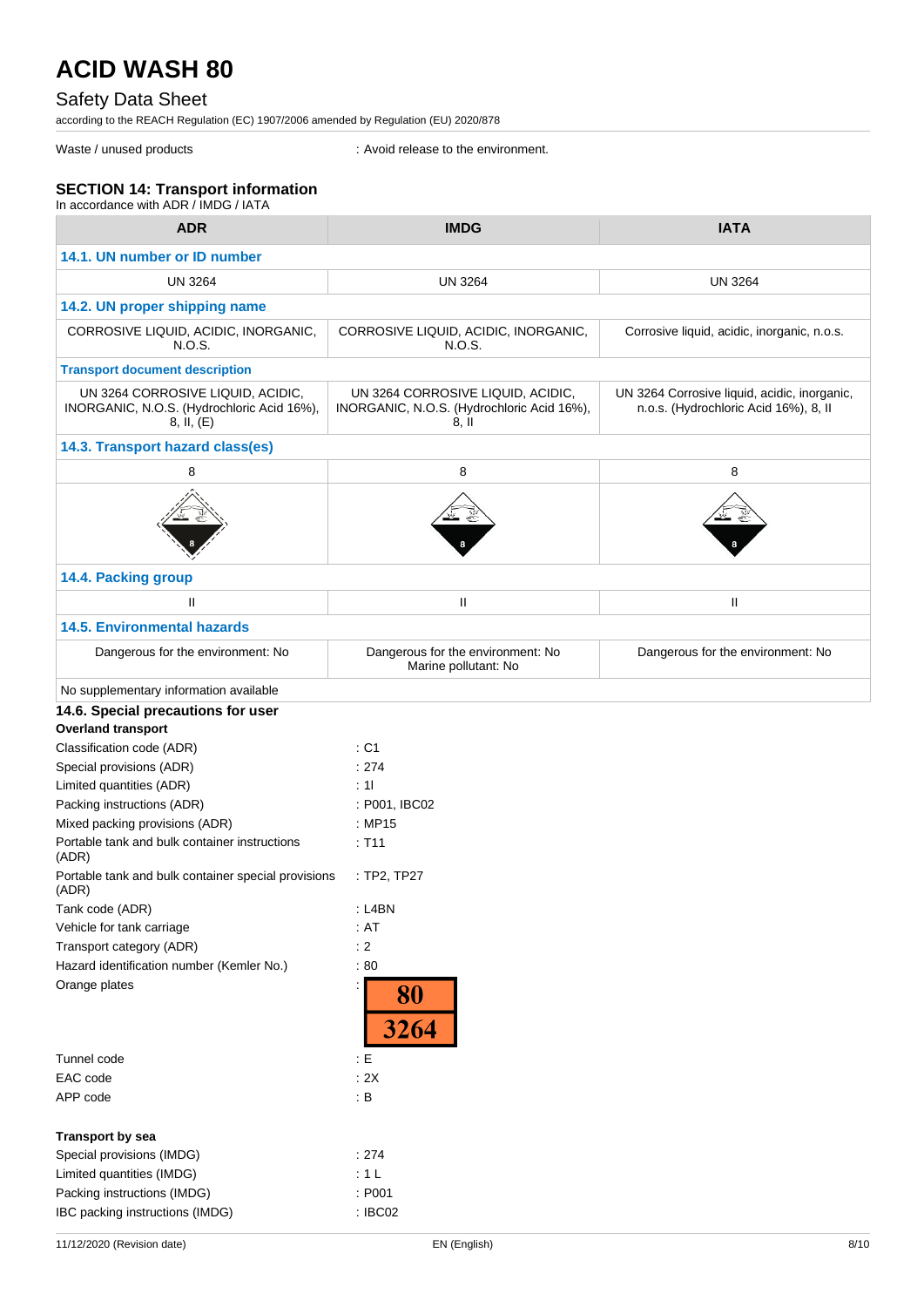## Safety Data Sheet

according to the REACH Regulation (EC) 1907/2006 amended by Regulation (EU) 2020/878

Waste / unused products in the environment.

### **SECTION 14: Transport information**

| In accordance with ADR / IMDG / IATA                                                          |                                                                                          |                                                                                       |
|-----------------------------------------------------------------------------------------------|------------------------------------------------------------------------------------------|---------------------------------------------------------------------------------------|
| <b>ADR</b>                                                                                    | <b>IMDG</b>                                                                              | <b>IATA</b>                                                                           |
| 14.1. UN number or ID number                                                                  |                                                                                          |                                                                                       |
| <b>UN 3264</b>                                                                                | <b>UN 3264</b>                                                                           | <b>UN 3264</b>                                                                        |
| 14.2. UN proper shipping name                                                                 |                                                                                          |                                                                                       |
| CORROSIVE LIQUID, ACIDIC, INORGANIC,<br>N.O.S.                                                | CORROSIVE LIQUID, ACIDIC, INORGANIC,<br>N.O.S.                                           | Corrosive liquid, acidic, inorganic, n.o.s.                                           |
| <b>Transport document description</b>                                                         |                                                                                          |                                                                                       |
| UN 3264 CORROSIVE LIQUID, ACIDIC,<br>INORGANIC, N.O.S. (Hydrochloric Acid 16%),<br>8, II, (E) | UN 3264 CORROSIVE LIQUID, ACIDIC,<br>INORGANIC, N.O.S. (Hydrochloric Acid 16%),<br>8, II | UN 3264 Corrosive liquid, acidic, inorganic,<br>n.o.s. (Hydrochloric Acid 16%), 8, II |
| 14.3. Transport hazard class(es)                                                              |                                                                                          |                                                                                       |
| 8                                                                                             | 8                                                                                        | 8                                                                                     |
|                                                                                               |                                                                                          |                                                                                       |
| 14.4. Packing group                                                                           |                                                                                          |                                                                                       |
| $\mathbf{H}$                                                                                  | Ш                                                                                        | Ш                                                                                     |
| <b>14.5. Environmental hazards</b>                                                            |                                                                                          |                                                                                       |
| Dangerous for the environment: No                                                             | Dangerous for the environment: No<br>Marine pollutant: No                                | Dangerous for the environment: No                                                     |
| No supplementary information available                                                        |                                                                                          |                                                                                       |
| 14.6. Special precautions for user                                                            |                                                                                          |                                                                                       |
| <b>Overland transport</b>                                                                     |                                                                                          |                                                                                       |
| Classification code (ADR)                                                                     | : C1                                                                                     |                                                                                       |
| Special provisions (ADR)                                                                      | : 274                                                                                    |                                                                                       |
| Limited quantities (ADR)                                                                      | : 11                                                                                     |                                                                                       |
| Packing instructions (ADR)                                                                    | : P001, IBC02                                                                            |                                                                                       |
| Mixed packing provisions (ADR)                                                                | : MP15                                                                                   |                                                                                       |
| Portable tank and bulk container instructions<br>(ADR)                                        | : T11                                                                                    |                                                                                       |
| Portable tank and bulk container special provisions<br>(ADR)                                  | $:$ TP2, TP27                                                                            |                                                                                       |
| Tank code (ADR)                                                                               | $:$ L4BN                                                                                 |                                                                                       |
| Vehicle for tank carriage                                                                     | : AT                                                                                     |                                                                                       |
| Transport category (ADR)                                                                      | : 2                                                                                      |                                                                                       |
| Hazard identification number (Kemler No.)                                                     | :80                                                                                      |                                                                                       |
| Orange plates                                                                                 | 80<br>3264                                                                               |                                                                                       |
| Tunnel code                                                                                   | $\pm E$                                                                                  |                                                                                       |
| EAC code                                                                                      | : 2X                                                                                     |                                                                                       |
| APP code                                                                                      | $\therefore$ B                                                                           |                                                                                       |
| <b>Transport by sea</b>                                                                       |                                                                                          |                                                                                       |
| Special provisions (IMDG)                                                                     | : 274                                                                                    |                                                                                       |
|                                                                                               |                                                                                          |                                                                                       |
| Limited quantities (IMDG)                                                                     | : 1 L                                                                                    |                                                                                       |
| Packing instructions (IMDG)<br>IBC packing instructions (IMDG)                                | : P001<br>: IBC02                                                                        |                                                                                       |
|                                                                                               |                                                                                          |                                                                                       |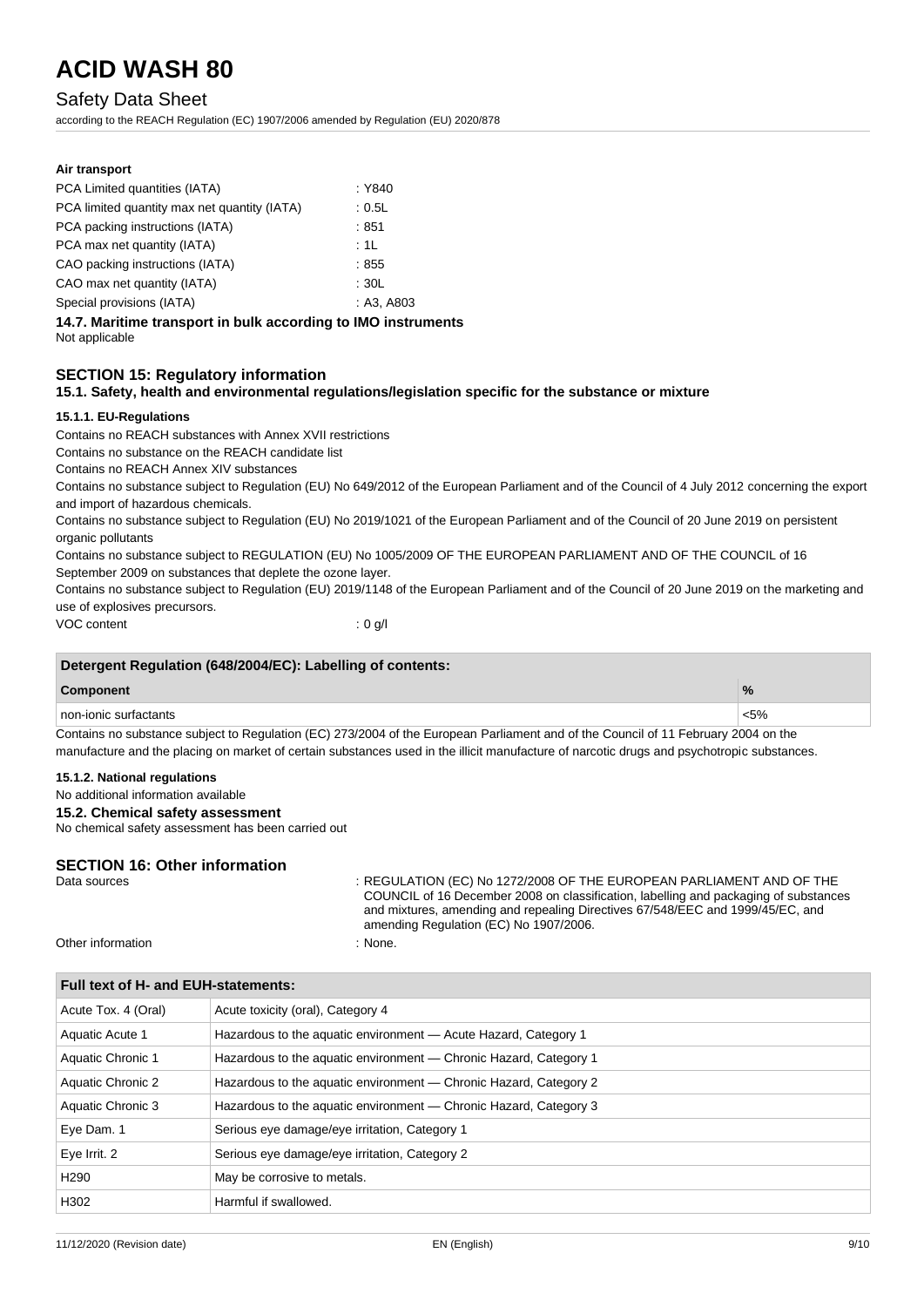### Safety Data Sheet

**Air transport**

according to the REACH Regulation (EC) 1907/2006 amended by Regulation (EU) 2020/878

| PCA Limited quantities (IATA)                                                                                                                                   | : Y840                                                                                                                                          |  |  |
|-----------------------------------------------------------------------------------------------------------------------------------------------------------------|-------------------------------------------------------------------------------------------------------------------------------------------------|--|--|
| PCA limited quantity max net quantity (IATA)                                                                                                                    | : 0.5L                                                                                                                                          |  |  |
| PCA packing instructions (IATA)                                                                                                                                 | :851                                                                                                                                            |  |  |
| PCA max net quantity (IATA)                                                                                                                                     | :1L                                                                                                                                             |  |  |
| CAO packing instructions (IATA)                                                                                                                                 | :855                                                                                                                                            |  |  |
| CAO max net quantity (IATA)                                                                                                                                     | : 30L                                                                                                                                           |  |  |
| Special provisions (IATA)                                                                                                                                       | : A3, A803                                                                                                                                      |  |  |
| Not applicable                                                                                                                                                  | 14.7. Maritime transport in bulk according to IMO instruments                                                                                   |  |  |
| <b>SECTION 15: Regulatory information</b>                                                                                                                       | 15.1. Safety, health and environmental regulations/legislation specific for the substance or mixture                                            |  |  |
| 15.1.1. EU-Regulations                                                                                                                                          |                                                                                                                                                 |  |  |
| Contains no REACH substances with Annex XVII restrictions                                                                                                       |                                                                                                                                                 |  |  |
| Contains no substance on the REACH candidate list                                                                                                               |                                                                                                                                                 |  |  |
| Contains no REACH Annex XIV substances                                                                                                                          |                                                                                                                                                 |  |  |
| and import of hazardous chemicals.                                                                                                                              | Contains no substance subject to Regulation (EU) No 649/2012 of the European Parliament and of the Council of 4 July 2012 concerning the export |  |  |
| Contains no substance subject to Regulation (EU) No 2019/1021 of the European Parliament and of the Council of 20 June 2019 on persistent<br>organic pollutants |                                                                                                                                                 |  |  |
| Contains no substance subject to REGULATION (EU) No 1005/2009 OF THE EUROPEAN PARLIAMENT AND OF THE COUNCIL of 16                                               |                                                                                                                                                 |  |  |
| September 2009 on substances that deplete the ozone layer.                                                                                                      |                                                                                                                                                 |  |  |
| use of explosives precursors.                                                                                                                                   | Contains no substance subject to Regulation (EU) 2019/1148 of the European Parliament and of the Council of 20 June 2019 on the marketing and   |  |  |
| VOC content                                                                                                                                                     | : 0 g/l                                                                                                                                         |  |  |
|                                                                                                                                                                 |                                                                                                                                                 |  |  |

| Detergent Regulation (648/2004/EC): Labelling of contents: |         |  |
|------------------------------------------------------------|---------|--|
| <b>Component</b>                                           |         |  |
| non-ionic surfactants                                      | $< 5\%$ |  |

Contains no substance subject to Regulation (EC) 273/2004 of the European Parliament and of the Council of 11 February 2004 on the manufacture and the placing on market of certain substances used in the illicit manufacture of narcotic drugs and psychotropic substances.

#### **15.1.2. National regulations**

No additional information available

**15.2. Chemical safety assessment**

No chemical safety assessment has been carried out

## **SECTION 16: Other information**<br>Data sources

: REGULATION (EC) No 1272/2008 OF THE EUROPEAN PARLIAMENT AND OF THE COUNCIL of 16 December 2008 on classification, labelling and packaging of substances and mixtures, amending and repealing Directives 67/548/EEC and 1999/45/EC, and amending Regulation (EC) No 1907/2006.

Other information in the contract of the contract of the contract of the contract of the contract of the contract of the contract of the contract of the contract of the contract of the contract of the contract of the contr

| Full text of H- and EUH-statements: |                                                                   |  |
|-------------------------------------|-------------------------------------------------------------------|--|
| Acute Tox. 4 (Oral)                 | Acute toxicity (oral), Category 4                                 |  |
| Aquatic Acute 1                     | Hazardous to the aquatic environment - Acute Hazard, Category 1   |  |
| Aquatic Chronic 1                   | Hazardous to the aquatic environment — Chronic Hazard, Category 1 |  |
| Aquatic Chronic 2                   | Hazardous to the aquatic environment — Chronic Hazard, Category 2 |  |
| Aquatic Chronic 3                   | Hazardous to the aquatic environment — Chronic Hazard, Category 3 |  |
| Eye Dam. 1                          | Serious eye damage/eye irritation, Category 1                     |  |
| Eye Irrit. 2                        | Serious eye damage/eye irritation, Category 2                     |  |
| H <sub>290</sub>                    | May be corrosive to metals.                                       |  |
| H302                                | Harmful if swallowed.                                             |  |